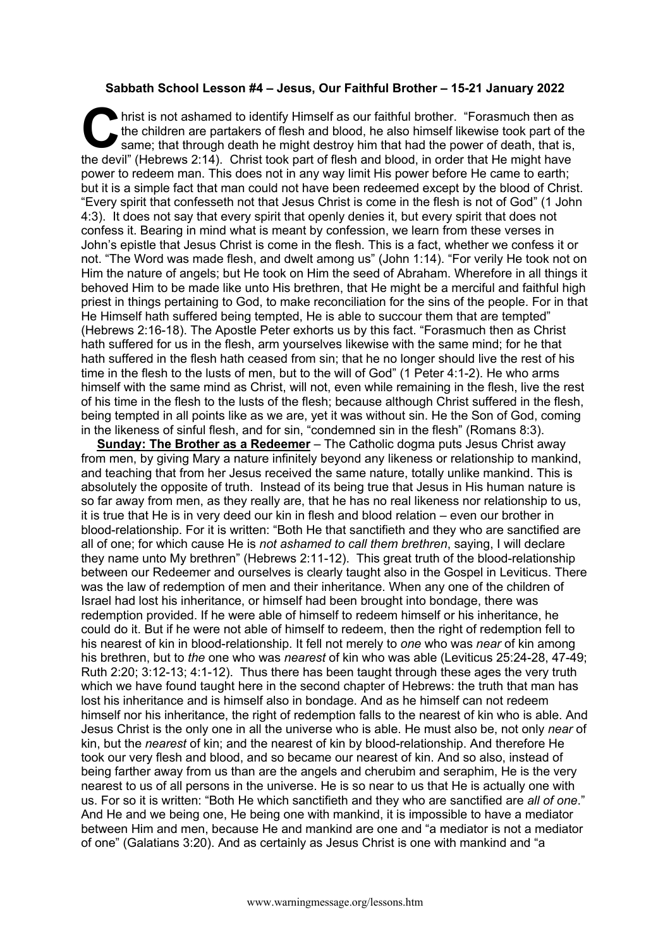## **Sabbath School Lesson #4 – Jesus, Our Faithful Brother – 15-21 January 2022**

hrist is not ashamed to identify Himself as our faithful brother. "Forasmuch then as<br>the children are partakers of flesh and blood, he also himself likewise took part of the<br>same; that through death he might destroy him th the children are partakers of flesh and blood, he also himself likewise took part of the same; that through death he might destroy him that had the power of death, that is, the devil" (Hebrews 2:14). Christ took part of flesh and blood, in order that He might have power to redeem man. This does not in any way limit His power before He came to earth; but it is a simple fact that man could not have been redeemed except by the blood of Christ. "Every spirit that confesseth not that Jesus Christ is come in the flesh is not of God" (1 John 4:3). It does not say that every spirit that openly denies it, but every spirit that does not confess it. Bearing in mind what is meant by confession, we learn from these verses in John's epistle that Jesus Christ is come in the flesh. This is a fact, whether we confess it or not. "The Word was made flesh, and dwelt among us" (John 1:14). "For verily He took not on Him the nature of angels; but He took on Him the seed of Abraham. Wherefore in all things it behoved Him to be made like unto His brethren, that He might be a merciful and faithful high priest in things pertaining to God, to make reconciliation for the sins of the people. For in that He Himself hath suffered being tempted, He is able to succour them that are tempted" (Hebrews 2:16-18). The Apostle Peter exhorts us by this fact. "Forasmuch then as Christ hath suffered for us in the flesh, arm yourselves likewise with the same mind; for he that hath suffered in the flesh hath ceased from sin; that he no longer should live the rest of his time in the flesh to the lusts of men, but to the will of God" (1 Peter 4:1-2). He who arms himself with the same mind as Christ, will not, even while remaining in the flesh, live the rest of his time in the flesh to the lusts of the flesh; because although Christ suffered in the flesh, being tempted in all points like as we are, yet it was without sin. He the Son of God, coming in the likeness of sinful flesh, and for sin, "condemned sin in the flesh" (Romans 8:3).

**Sunday: The Brother as a Redeemer** – The Catholic dogma puts Jesus Christ away from men, by giving Mary a nature infinitely beyond any likeness or relationship to mankind, and teaching that from her Jesus received the same nature, totally unlike mankind. This is absolutely the opposite of truth. Instead of its being true that Jesus in His human nature is so far away from men, as they really are, that he has no real likeness nor relationship to us, it is true that He is in very deed our kin in flesh and blood relation – even our brother in blood-relationship. For it is written: "Both He that sanctifieth and they who are sanctified are all of one; for which cause He is *not ashamed to call them brethren*, saying, I will declare they name unto My brethren" (Hebrews 2:11-12). This great truth of the blood-relationship between our Redeemer and ourselves is clearly taught also in the Gospel in Leviticus. There was the law of redemption of men and their inheritance. When any one of the children of Israel had lost his inheritance, or himself had been brought into bondage, there was redemption provided. If he were able of himself to redeem himself or his inheritance, he could do it. But if he were not able of himself to redeem, then the right of redemption fell to his nearest of kin in blood-relationship. It fell not merely to *one* who was *near* of kin among his brethren, but to *the* one who was *nearest* of kin who was able (Leviticus 25:24-28, 47-49; Ruth 2:20; 3:12-13; 4:1-12). Thus there has been taught through these ages the very truth which we have found taught here in the second chapter of Hebrews: the truth that man has lost his inheritance and is himself also in bondage. And as he himself can not redeem himself nor his inheritance, the right of redemption falls to the nearest of kin who is able. And Jesus Christ is the only one in all the universe who is able. He must also be, not only *near* of kin, but the *nearest* of kin; and the nearest of kin by blood-relationship. And therefore He took our very flesh and blood, and so became our nearest of kin. And so also, instead of being farther away from us than are the angels and cherubim and seraphim, He is the very nearest to us of all persons in the universe. He is so near to us that He is actually one with us. For so it is written: "Both He which sanctifieth and they who are sanctified are *all of one*." And He and we being one, He being one with mankind, it is impossible to have a mediator between Him and men, because He and mankind are one and "a mediator is not a mediator of one" (Galatians 3:20). And as certainly as Jesus Christ is one with mankind and "a